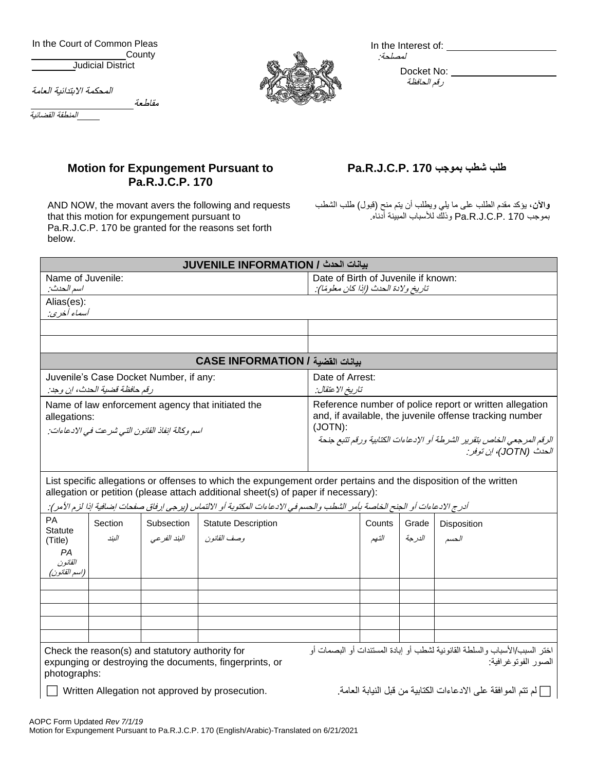In the Court of Common Pleas **County** Judicial District

المحكمة االبتدائية العامة

مقاطعة

المنطقة القضائية



In the Interest of: لمصلحة:

> Docket No: رقم الحافظة

## **Motion for Expungement Pursuant to Pa.R.J.C.P. 170**

AND NOW, the movant avers the following and requests that this motion for expungement pursuant to Pa.R.J.C.P. 170 be granted for the reasons set forth below.

## **Pa.R.J.C.P. 170 بموجب شطب طلب**

**واآلن**، يؤكد مقدم الطلب على ما يلي ويطلب أن يتم منح )قبول( طلب الشطب بموجب 170 .P.C.J.R.Pa وذلك لألسباب المبينة أدناه.

|                                                         |                                                                         |                                                   | بيانات الحدث / JUVENILE INFORMATION                                                                                                                                                                                                                                                                                                  |                                                                                                                    |                   |        |                                                                                                    |
|---------------------------------------------------------|-------------------------------------------------------------------------|---------------------------------------------------|--------------------------------------------------------------------------------------------------------------------------------------------------------------------------------------------------------------------------------------------------------------------------------------------------------------------------------------|--------------------------------------------------------------------------------------------------------------------|-------------------|--------|----------------------------------------------------------------------------------------------------|
| Name of Juvenile:<br>اسم الحدث:                         |                                                                         |                                                   | Date of Birth of Juvenile if known:<br>تاريخ ولادة الحدث (إذا كان معلومًا):                                                                                                                                                                                                                                                          |                                                                                                                    |                   |        |                                                                                                    |
| Alias(es):                                              |                                                                         |                                                   |                                                                                                                                                                                                                                                                                                                                      |                                                                                                                    |                   |        |                                                                                                    |
| أسماء أخرى:                                             |                                                                         |                                                   |                                                                                                                                                                                                                                                                                                                                      |                                                                                                                    |                   |        |                                                                                                    |
|                                                         |                                                                         |                                                   |                                                                                                                                                                                                                                                                                                                                      |                                                                                                                    |                   |        |                                                                                                    |
|                                                         |                                                                         |                                                   | بيانات الفضية / CASE INFORMATION                                                                                                                                                                                                                                                                                                     |                                                                                                                    |                   |        |                                                                                                    |
|                                                         | Juvenile's Case Docket Number, if any:<br>رقم حافظة قضية الحدث، إن وجد: |                                                   |                                                                                                                                                                                                                                                                                                                                      | Date of Arrest:<br>تاريخ الاعتقال:                                                                                 |                   |        |                                                                                                    |
| allegations:                                            | اسم وكالة انفاذ القانون التي شرعت في الإدعاءات:                         | Name of law enforcement agency that initiated the | (JOTN):                                                                                                                                                                                                                                                                                                                              | Reference number of police report or written allegation<br>and, if available, the juvenile offense tracking number |                   |        |                                                                                                    |
|                                                         |                                                                         |                                                   |                                                                                                                                                                                                                                                                                                                                      |                                                                                                                    |                   |        | الرقم المرجعي الخاص بتقرير الشرطة أو الإدعاءات الكتابية ورقم تتبع جنحة<br>الحدث (JOTN)، ان توفر :  |
|                                                         |                                                                         |                                                   | List specific allegations or offenses to which the expungement order pertains and the disposition of the written<br>allegation or petition (please attach additional sheet(s) of paper if necessary):<br>أدرج الادعاءات أو الجنح الخاصة بأمر الشطب والحسم في الادعاءات المكتوبة أو الالتماس (يرجى إرفاق صفحات إضافية اذا لزم الأمر): |                                                                                                                    |                   |        |                                                                                                    |
| PA<br><b>Statute</b><br>(Title)<br><b>PA</b><br>القانون | Section<br>اليند                                                        | البند الفر عي                                     | Subsection   Statute Description<br>وصف القانون ا                                                                                                                                                                                                                                                                                    |                                                                                                                    | Counts  <br>التهم | الدرجة | Grade Disposition<br>الحسم                                                                         |
| (اسم القانون)                                           |                                                                         |                                                   |                                                                                                                                                                                                                                                                                                                                      |                                                                                                                    |                   |        |                                                                                                    |
|                                                         |                                                                         | Check the reason(s) and statutory authority for   | expunging or destroying the documents, fingerprints, or                                                                                                                                                                                                                                                                              |                                                                                                                    |                   |        | اختر السبب/الأسباب والسلطة القانونية لشطب أو إبادة المستندات أو البصمات أو<br>الصور الفوتوغر افية: |
| photographs:                                            | AOPC Form Updated Rev 7/1/19                                            |                                                   | Written Allegation not approved by prosecution.                                                                                                                                                                                                                                                                                      |                                                                                                                    |                   |        | ┌ لم نتم الموافقة على الادعاءات الكتابية من قبل النيابة العامة.                                    |